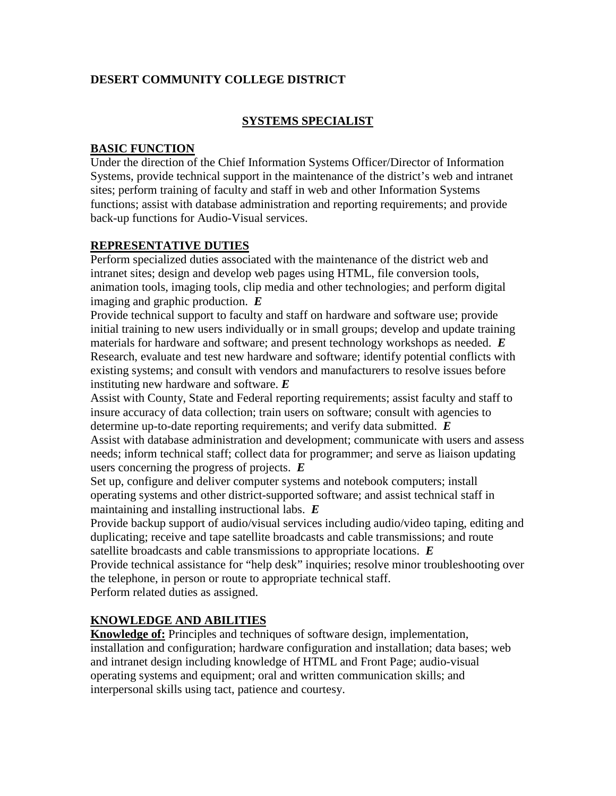### **DESERT COMMUNITY COLLEGE DISTRICT**

#### **SYSTEMS SPECIALIST**

#### **BASIC FUNCTION**

Under the direction of the Chief Information Systems Officer/Director of Information Systems, provide technical support in the maintenance of the district's web and intranet sites; perform training of faculty and staff in web and other Information Systems functions; assist with database administration and reporting requirements; and provide back-up functions for Audio-Visual services.

#### **REPRESENTATIVE DUTIES**

Perform specialized duties associated with the maintenance of the district web and intranet sites; design and develop web pages using HTML, file conversion tools, animation tools, imaging tools, clip media and other technologies; and perform digital imaging and graphic production. *E*

Provide technical support to faculty and staff on hardware and software use; provide initial training to new users individually or in small groups; develop and update training materials for hardware and software; and present technology workshops as needed. *E* Research, evaluate and test new hardware and software; identify potential conflicts with existing systems; and consult with vendors and manufacturers to resolve issues before instituting new hardware and software. *E*

Assist with County, State and Federal reporting requirements; assist faculty and staff to insure accuracy of data collection; train users on software; consult with agencies to determine up-to-date reporting requirements; and verify data submitted. *E* Assist with database administration and development; communicate with users and assess needs; inform technical staff; collect data for programmer; and serve as liaison updating

users concerning the progress of projects. *E*

Set up, configure and deliver computer systems and notebook computers; install operating systems and other district-supported software; and assist technical staff in maintaining and installing instructional labs. *E*

Provide backup support of audio/visual services including audio/video taping, editing and duplicating; receive and tape satellite broadcasts and cable transmissions; and route satellite broadcasts and cable transmissions to appropriate locations. *E* Provide technical assistance for "help desk" inquiries; resolve minor troubleshooting over the telephone, in person or route to appropriate technical staff. Perform related duties as assigned.

# **KNOWLEDGE AND ABILITIES**

**Knowledge of:** Principles and techniques of software design, implementation, installation and configuration; hardware configuration and installation; data bases; web and intranet design including knowledge of HTML and Front Page; audio-visual operating systems and equipment; oral and written communication skills; and interpersonal skills using tact, patience and courtesy.